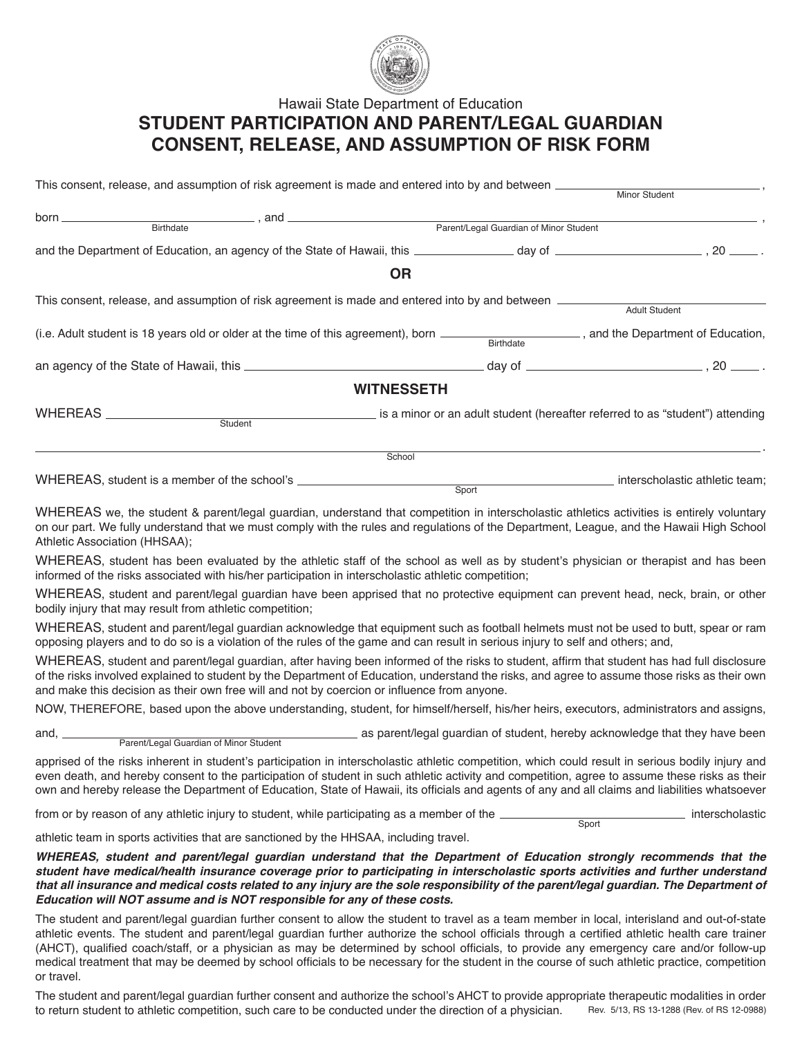

## Hawaii State Department of Education **STUDENT PARTICIPATION AND PARENT/LEGAL GUARDIAN CONSENT, RELEASE, AND ASSUMPTION OF RISK FORM**

|                                                                                                                                              | <b>OR</b>                                                                        |                                                                               |                                |  |
|----------------------------------------------------------------------------------------------------------------------------------------------|----------------------------------------------------------------------------------|-------------------------------------------------------------------------------|--------------------------------|--|
|                                                                                                                                              |                                                                                  |                                                                               |                                |  |
|                                                                                                                                              |                                                                                  |                                                                               |                                |  |
| (i.e. Adult student is 18 years old or older at the time of this agreement), born ________________________, and the Department of Education, |                                                                                  |                                                                               |                                |  |
|                                                                                                                                              |                                                                                  |                                                                               |                                |  |
|                                                                                                                                              | <b>WITNESSETH</b>                                                                |                                                                               |                                |  |
|                                                                                                                                              | Student                                                                          | is a minor or an adult student (hereafter referred to as "student") attending |                                |  |
|                                                                                                                                              |                                                                                  |                                                                               |                                |  |
|                                                                                                                                              | School                                                                           |                                                                               |                                |  |
|                                                                                                                                              | WHEREAS, student is a member of the school's ___________________________________ |                                                                               | interscholastic athletic team; |  |

WHEREAS we, the student & parent/legal guardian, understand that competition in interscholastic athletics activities is entirely voluntary on our part. We fully understand that we must comply with the rules and regulations of the Department, League, and the Hawaii High School Athletic Association (HHSAA);

**Sport** 

WHEREAS, student has been evaluated by the athletic staff of the school as well as by student's physician or therapist and has been informed of the risks associated with his/her participation in interscholastic athletic competition;

WHEREAS, student and parent/legal guardian have been apprised that no protective equipment can prevent head, neck, brain, or other bodily injury that may result from athletic competition;

WHEREAS, student and parent/legal guardian acknowledge that equipment such as football helmets must not be used to butt, spear or ram opposing players and to do so is a violation of the rules of the game and can result in serious injury to self and others; and,

WHEREAS, student and parent/legal guardian, after having been informed of the risks to student, affirm that student has had full disclosure of the risks involved explained to student by the Department of Education, understand the risks, and agree to assume those risks as their own and make this decision as their own free will and not by coercion or influence from anyone.

NOW, THEREFORE, based upon the above understanding, student, for himself/herself, his/her heirs, executors, administrators and assigns,

and, as parent/legal guardian of student, hereby acknowledge that they have been Parent/Legal Guardian of Minor Student

apprised of the risks inherent in student's participation in interscholastic athletic competition, which could result in serious bodily injury and even death, and hereby consent to the participation of student in such athletic activity and competition, agree to assume these risks as their own and hereby release the Department of Education, State of Hawaii, its officials and agents of any and all claims and liabilities whatsoever

from or by reason of any athletic injury to student, while participating as a member of the **interscholastic** interscholastic **Sport** 

athletic team in sports activities that are sanctioned by the HHSAA, including travel.

*WHEREAS, student and parent/legal guardian understand that the Department of Education strongly recommends that the student have medical/health insurance coverage prior to participating in interscholastic sports activities and further understand that all insurance and medical costs related to any injury are the sole responsibility of the parent/legal guardian. The Department of Education will NOT assume and is NOT responsible for any of these costs.*

The student and parent/legal guardian further consent to allow the student to travel as a team member in local, interisland and out-of-state athletic events. The student and parent/legal guardian further authorize the school officials through a certified athletic health care trainer (AHCT), qualified coach/staff, or a physician as may be determined by school officials, to provide any emergency care and/or follow-up medical treatment that may be deemed by school officials to be necessary for the student in the course of such athletic practice, competition or travel.

The student and parent/legal guardian further consent and authorize the school's AHCT to provide appropriate therapeutic modalities in order<br>to return student to athletic competition, such care to be conducted under the di to return student to athletic competition, such care to be conducted under the direction of a physician.